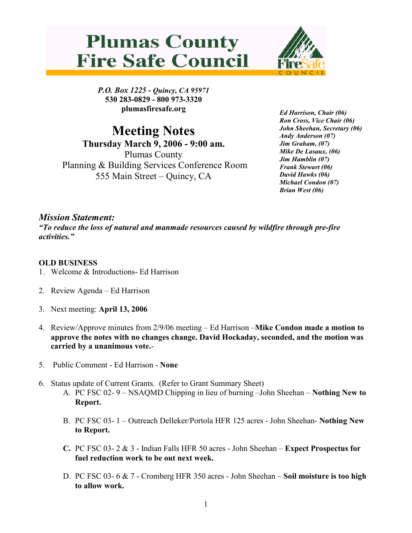



P.O. Box 1225 - Quincy, CA 95971 530 283-0829 - 800 973-3320 plumasfiresafe.org

Meeting Notes Thursday March 9, 2006 - 9:00 am. Plumas County Planning & Building Services Conference Room 555 Main Street – Quincy, CA

Ed Harrison, Chair (06) Ron Cross, Vice Chair (06) John Sheehan, Secretary (06) Andy Anderson (07) Jim Graham, (07) Mike De Lasaux, (06) Jim Hamblin (07) Frank Stewart (06) David Hawks (06) Michael Condon (07) Brian West (06)

## Mission Statement:

"To reduce the loss of natural and manmade resources caused by wildfire through pre-fire activities."

## OLD BUSINESS

- 1. Welcome & Introductions- Ed Harrison
- 2. Review Agenda Ed Harrison
- 3. Next meeting: April 13, 2006
- 4. Review/Approve minutes from 2/9/06 meeting Ed Harrison –Mike Condon made a motion to approve the notes with no changes change. David Hockaday, seconded, and the motion was carried by a unanimous vote.-
- 5. Public Comment Ed Harrison None
- 6. Status update of Current Grants. (Refer to Grant Summary Sheet) A. PC FSC 02- 9 – NSAQMD Chipping in lieu of burning –John Sheehan – Nothing New to Report.
	- B. PC FSC 03- 1 Outreach Delleker/Portola HFR 125 acres John Sheehan- Nothing New to Report.
	- C. PC FSC 03- 2 & 3 Indian Falls HFR 50 acres John Sheehan Expect Prospectus for fuel reduction work to be out next week.
	- D. PC FSC 03- 6 & 7 Cromberg HFR 350 acres John Sheehan Soil moisture is too high to allow work.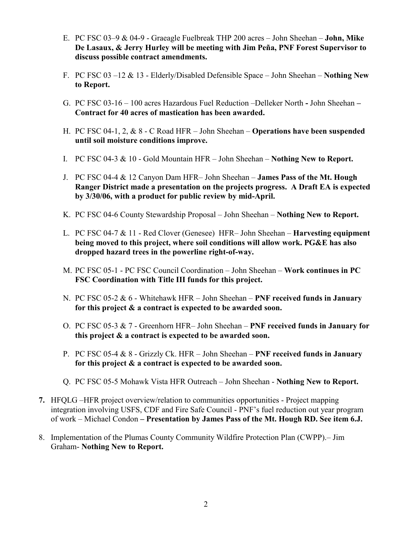- E. PC FSC 03–9 & 04-9 Graeagle Fuelbreak THP 200 acres John Sheehan John, Mike De Lasaux, & Jerry Hurley will be meeting with Jim Peña, PNF Forest Supervisor to discuss possible contract amendments.
- F. PC FSC 03 –12  $& 13$  Elderly/Disabled Defensible Space John Sheehan Nothing New to Report.
- G. PC FSC 03-16 100 acres Hazardous Fuel Reduction –Delleker North John Sheehan Contract for 40 acres of mastication has been awarded.
- H. PC FSC 04-1, 2, & 8 C Road HFR John Sheehan Operations have been suspended until soil moisture conditions improve.
- I. PC FSC 04-3 & 10 Gold Mountain HFR John Sheehan Nothing New to Report.
- J. PC FSC 04-4 & 12 Canyon Dam HFR– John Sheehan James Pass of the Mt. Hough Ranger District made a presentation on the projects progress. A Draft EA is expected by 3/30/06, with a product for public review by mid-April.
- K. PC FSC 04-6 County Stewardship Proposal John Sheehan Nothing New to Report.
- L. PC FSC 04-7 & 11 Red Clover (Genesee) HFR– John Sheehan Harvesting equipment being moved to this project, where soil conditions will allow work. PG&E has also dropped hazard trees in the powerline right-of-way.
- M. PC FSC 05-1 PC FSC Council Coordination John Sheehan Work continues in PC FSC Coordination with Title III funds for this project.
- N. PC FSC 05-2  $& 6$  Whitehawk HFR John Sheehan PNF received funds in January for this project & a contract is expected to be awarded soon.
- O. PC FSC 05-3 & 7 Greenhorn HFR– John Sheehan PNF received funds in January for this project & a contract is expected to be awarded soon.
- P. PC FSC 05-4  $& 8$  Grizzly Ck. HFR John Sheehan PNF received funds in January for this project & a contract is expected to be awarded soon.
- Q. PC FSC 05-5 Mohawk Vista HFR Outreach John Sheehan Nothing New to Report.
- 7. HFQLG –HFR project overview/relation to communities opportunities Project mapping integration involving USFS, CDF and Fire Safe Council - PNF's fuel reduction out year program of work – Michael Condon – Presentation by James Pass of the Mt. Hough RD. See item 6.J.
- 8. Implementation of the Plumas County Community Wildfire Protection Plan (CWPP).– Jim Graham- Nothing New to Report.